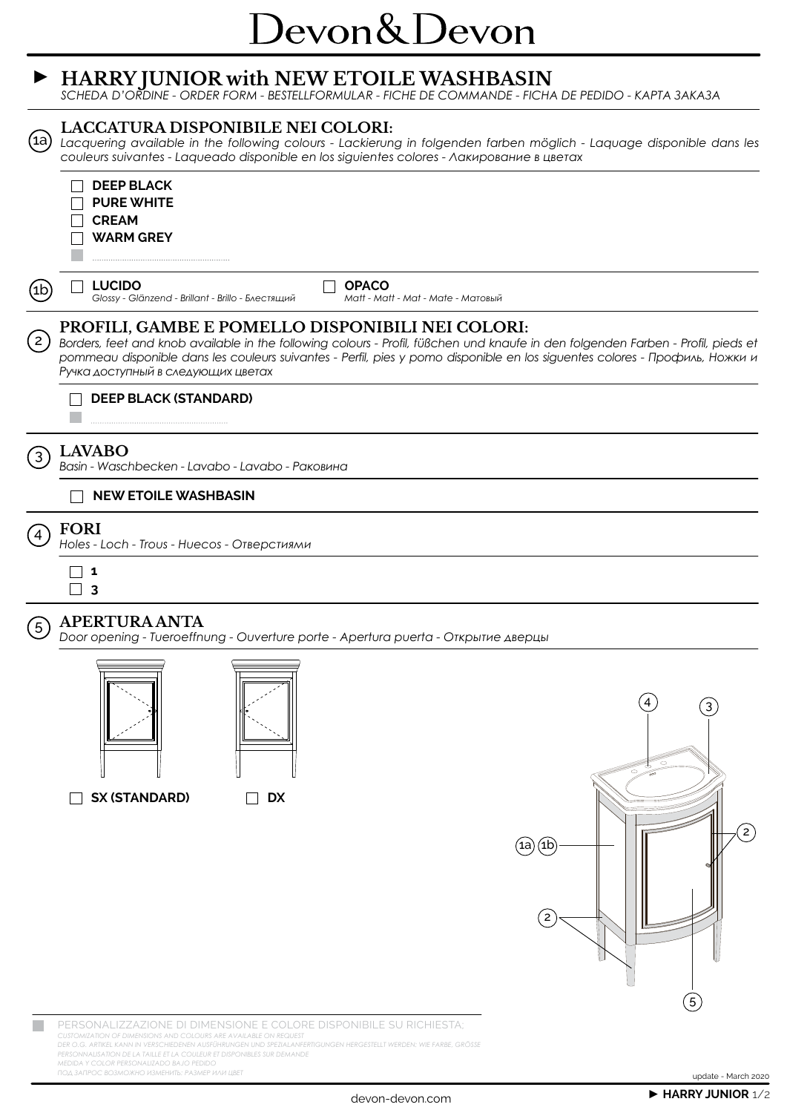## Devon&Devon

#### **► HARRY JUNIOR with NEW ETOILE WASHBASIN**

*SCHEDA D'ORDINE - ORDER FORM - BESTELLFORMULAR - FICHE DE COMMANDE - FICHA DE PEDIDO - KАРТА ЗАКАЗА*



PERSONALIZZAZIONE DI DIMENSIONE E COLORE DISPONIBILE SU RICHIESTA; *CUSTOMIZATION OF DIMENSIONS AND COLOURS ARE AVAILABLE ON REQUEST DER O.G. ARTIKEL KANN IN VERSCHIEDENEN AUSFÜHRUNGEN UND SPEZIALANFERTIGUNGEN HERGESTELLT WERDEN: WIE FARBE, GRÖSSE PERSONNALISATION DE LA TAILLE ET LA COULEUR ET DISPONIBLES SUR DEMANDE MEDIDA Y COLOR PERSONALIZADO BAJO PEDIDO*

*ПОД ЗАПРОС ВОЗМОЖНО ИЗМЕНИТЬ: РАЗМЕР ИЛИ ЦВЕТ*